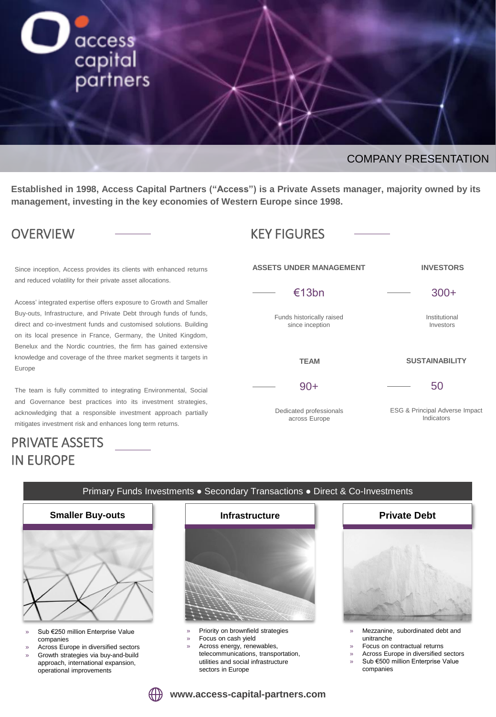

### COMPANY PRESENTATION

**INVESTORS**

300+

Institutional Investors

**SUSTAINABILITY**

50

ESG & Principal Adverse Impact Indicators

**Established in 1998, Access Capital Partners ("Access") is a Private Assets manager, majority owned by its management, investing in the key economies of Western Europe since 1998.**

**ASSETS UNDER MANAGEMENT**

€13bn

Funds historically raised since inception

**TEAM**

90+

Dedicated professionals across Europe

## OVERVIEW —— KEY FIGURES

Since inception, Access provides its clients with enhanced returns and reduced volatility for their private asset allocations.

Access' integrated expertise offers exposure to Growth and Smaller Buy-outs, Infrastructure, and Private Debt through funds of funds, direct and co-investment funds and customised solutions. Building on its local presence in France, Germany, the United Kingdom, Benelux and the Nordic countries, the firm has gained extensive knowledge and coverage of the three market segments it targets in Europe

The team is fully committed to integrating Environmental, Social and Governance best practices into its investment strategies, acknowledging that a responsible investment approach partially mitigates investment risk and enhances long term returns.

# PRIVATE ASSETS IN EUROPE